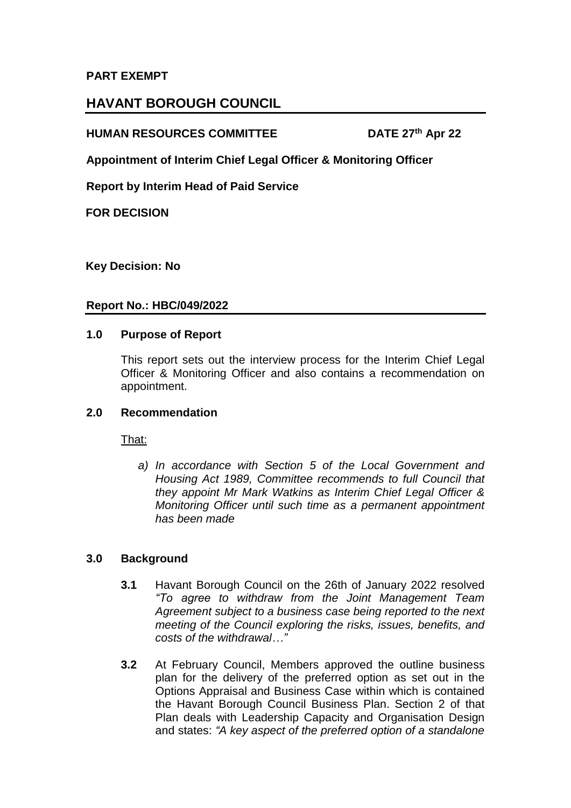### **PART EXEMPT**

# **HAVANT BOROUGH COUNCIL**

### **HUMAN RESOURCES COMMITTEE**

**DATE 27th Apr 22** 

**Appointment of Interim Chief Legal Officer & Monitoring Officer**

**Report by Interim Head of Paid Service**

**FOR DECISION**

**Key Decision: No**

#### **Report No.: HBC/049/2022**

#### **1.0 Purpose of Report**

This report sets out the interview process for the Interim Chief Legal Officer & Monitoring Officer and also contains a recommendation on appointment.

#### **2.0 Recommendation**

That:

*a) In accordance with Section 5 of the Local Government and Housing Act 1989, Committee recommends to full Council that they appoint Mr Mark Watkins as Interim Chief Legal Officer & Monitoring Officer until such time as a permanent appointment has been made*

#### **3.0 Background**

- **3.1** Havant Borough Council on the 26th of January 2022 resolved *"To agree to withdraw from the Joint Management Team Agreement subject to a business case being reported to the next meeting of the Council exploring the risks, issues, benefits, and costs of the withdrawal…"*
- **3.2** At February Council, Members approved the outline business plan for the delivery of the preferred option as set out in the Options Appraisal and Business Case within which is contained the Havant Borough Council Business Plan. Section 2 of that Plan deals with Leadership Capacity and Organisation Design and states: *"A key aspect of the preferred option of a standalone*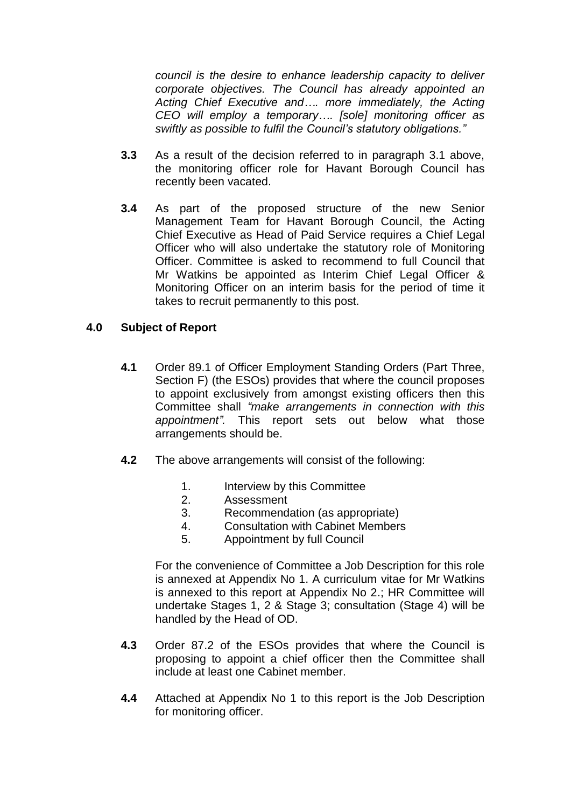*council is the desire to enhance leadership capacity to deliver corporate objectives. The Council has already appointed an Acting Chief Executive and…. more immediately, the Acting CEO will employ a temporary…. [sole] monitoring officer as swiftly as possible to fulfil the Council's statutory obligations."*

- **3.3** As a result of the decision referred to in paragraph 3.1 above, the monitoring officer role for Havant Borough Council has recently been vacated.
- **3.4** As part of the proposed structure of the new Senior Management Team for Havant Borough Council, the Acting Chief Executive as Head of Paid Service requires a Chief Legal Officer who will also undertake the statutory role of Monitoring Officer. Committee is asked to recommend to full Council that Mr Watkins be appointed as Interim Chief Legal Officer & Monitoring Officer on an interim basis for the period of time it takes to recruit permanently to this post.

### **4.0 Subject of Report**

- **4.1** Order 89.1 of Officer Employment Standing Orders (Part Three, Section F) (the ESOs) provides that where the council proposes to appoint exclusively from amongst existing officers then this Committee shall *"make arrangements in connection with this appointment".* This report sets out below what those arrangements should be.
- **4.2** The above arrangements will consist of the following:
	- 1. Interview by this Committee
	- 2. Assessment
	- 3. Recommendation (as appropriate)
	- 4. Consultation with Cabinet Members
	- 5. Appointment by full Council

For the convenience of Committee a Job Description for this role is annexed at Appendix No 1. A curriculum vitae for Mr Watkins is annexed to this report at Appendix No 2.; HR Committee will undertake Stages 1, 2 & Stage 3; consultation (Stage 4) will be handled by the Head of OD.

- **4.3** Order 87.2 of the ESOs provides that where the Council is proposing to appoint a chief officer then the Committee shall include at least one Cabinet member.
- **4.4** Attached at Appendix No 1 to this report is the Job Description for monitoring officer.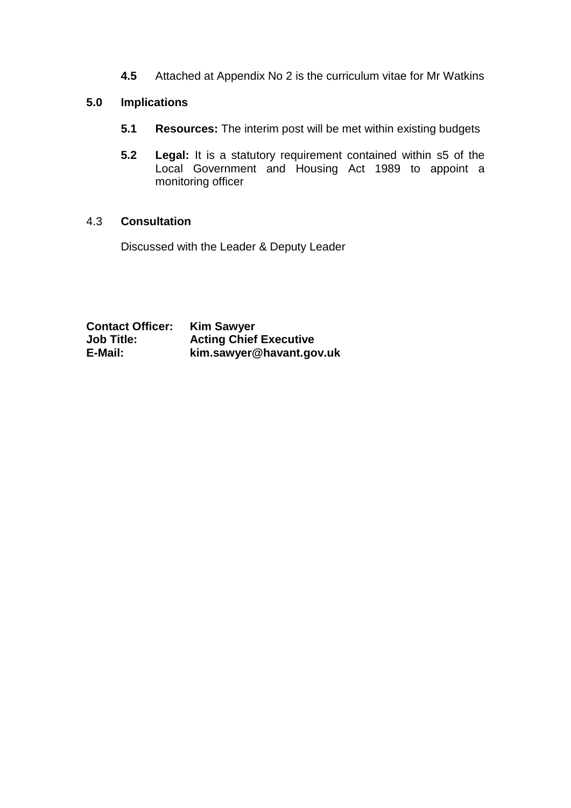**4.5** Attached at Appendix No 2 is the curriculum vitae for Mr Watkins

## **5.0 Implications**

- **5.1 Resources:** The interim post will be met within existing budgets
- **5.2 Legal:** It is a statutory requirement contained within s5 of the Local Government and Housing Act 1989 to appoint a monitoring officer

### 4.3 **Consultation**

Discussed with the Leader & Deputy Leader

**Contact Officer: Kim Sawyer Job Title:** Acting Chief Executive<br> **E-Mail:** kim.sawver@havant.go **E-Mail: kim.sawyer@havant.gov.uk**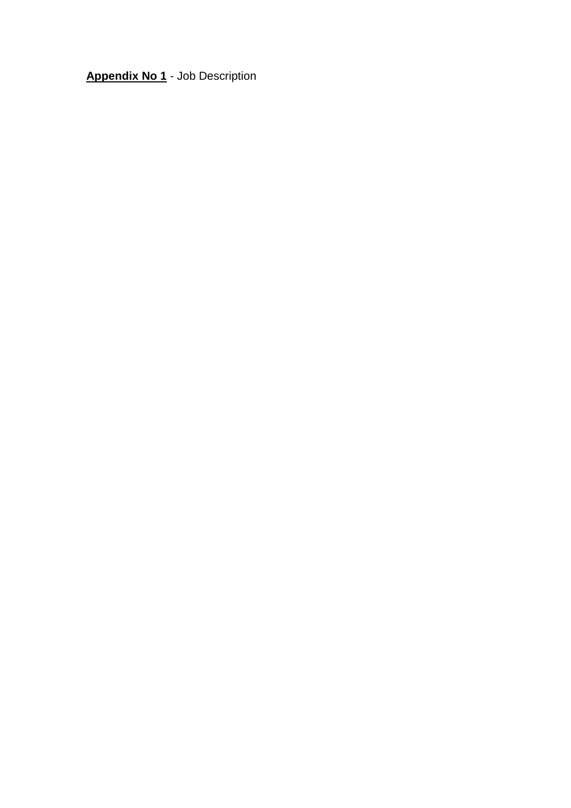**Appendix No 1** - Job Description